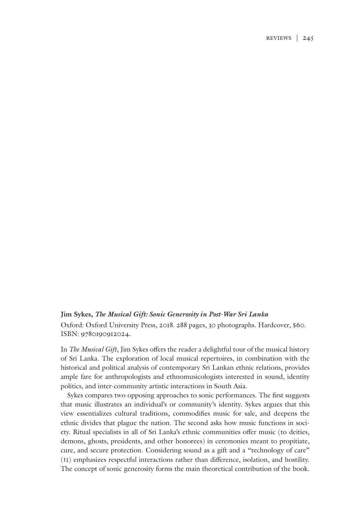## **Jim Sykes,** *The Musical Gift: Sonic Generosity in Post-War Sri Lanka*

Oxford: Oxford University Press, 2018. 288 pages, 30 photographs. Hardcover, \$60. ISBN: 9780190912024.

In *The Musical Gift*, Jim Sykes offers the reader a delightful tour of the musical history of Sri Lanka. The exploration of local musical repertoires, in combination with the historical and political analysis of contemporary Sri Lankan ethnic relations, provides ample fare for anthropologists and ethnomusicologists interested in sound, identity politics, and inter-community artistic interactions in South Asia.

Sykes compares two opposing approaches to sonic performances. The first suggests that music illustrates an individual's or community's identity. Sykes argues that this view essentializes cultural traditions, commodifies music for sale, and deepens the ethnic divides that plague the nation. The second asks how music functions in society. Ritual specialists in all of Sri Lanka's ethnic communities offer music (to deities, demons, ghosts, presidents, and other honorees) in ceremonies meant to propitiate, cure, and secure protection. Considering sound as a gift and a "technology of care" (11) emphasizes respectful interactions rather than difference, isolation, and hostility. The concept of sonic generosity forms the main theoretical contribution of the book.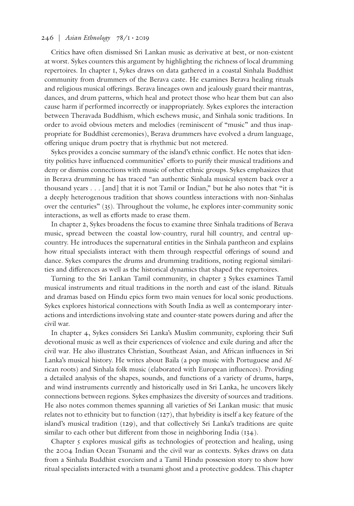## 246 | *Asian Ethnology* 78/1 • 2019

Critics have often dismissed Sri Lankan music as derivative at best, or non-existent at worst. Sykes counters this argument by highlighting the richness of local drumming repertoires. In chapter 1, Sykes draws on data gathered in a coastal Sinhala Buddhist community from drummers of the Berava caste. He examines Berava healing rituals and religious musical offerings. Berava lineages own and jealously guard their mantras, dances, and drum patterns, which heal and protect those who hear them but can also cause harm if performed incorrectly or inappropriately. Sykes explores the interaction between Theravada Buddhism, which eschews music, and Sinhala sonic traditions. In order to avoid obvious meters and melodies (reminiscent of "music" and thus inappropriate for Buddhist ceremonies), Berava drummers have evolved a drum language, offering unique drum poetry that is rhythmic but not metered.

Sykes provides a concise summary of the island's ethnic conflict. He notes that identity politics have influenced communities' efforts to purify their musical traditions and deny or dismiss connections with music of other ethnic groups. Sykes emphasizes that in Berava drumming he has traced "an authentic Sinhala musical system back over a thousand years . . . [and] that it is not Tamil or Indian," but he also notes that "it is a deeply heterogenous tradition that shows countless interactions with non-Sinhalas over the centuries" (35). Throughout the volume, he explores inter-community sonic interactions, as well as efforts made to erase them.

In chapter 2, Sykes broadens the focus to examine three Sinhala traditions of Berava music, spread between the coastal low-country, rural hill country, and central upcountry. He introduces the supernatural entities in the Sinhala pantheon and explains how ritual specialists interact with them through respectful offerings of sound and dance. Sykes compares the drums and drumming traditions, noting regional similarities and differences as well as the historical dynamics that shaped the repertoires.

Turning to the Sri Lankan Tamil community, in chapter 3 Sykes examines Tamil musical instruments and ritual traditions in the north and east of the island. Rituals and dramas based on Hindu epics form two main venues for local sonic productions. Sykes explores historical connections with South India as well as contemporary interactions and interdictions involving state and counter-state powers during and after the civil war.

In chapter 4, Sykes considers Sri Lanka's Muslim community, exploring their Sufi devotional music as well as their experiences of violence and exile during and after the civil war. He also illustrates Christian, Southeast Asian, and African influences in Sri Lanka's musical history. He writes about Baila (a pop music with Portuguese and African roots) and Sinhala folk music (elaborated with European influences). Providing a detailed analysis of the shapes, sounds, and functions of a variety of drums, harps, and wind instruments currently and historically used in Sri Lanka, he uncovers likely connections between regions. Sykes emphasizes the diversity of sources and traditions. He also notes common themes spanning all varieties of Sri Lankan music: that music relates not to ethnicity but to function (127), that hybridity is itself a key feature of the island's musical tradition (129), and that collectively Sri Lanka's traditions are quite similar to each other but different from those in neighboring India (134).

Chapter 5 explores musical gifts as technologies of protection and healing, using the 2004 Indian Ocean Tsunami and the civil war as contexts. Sykes draws on data from a Sinhala Buddhist exorcism and a Tamil Hindu possession story to show how ritual specialists interacted with a tsunami ghost and a protective goddess. This chapter